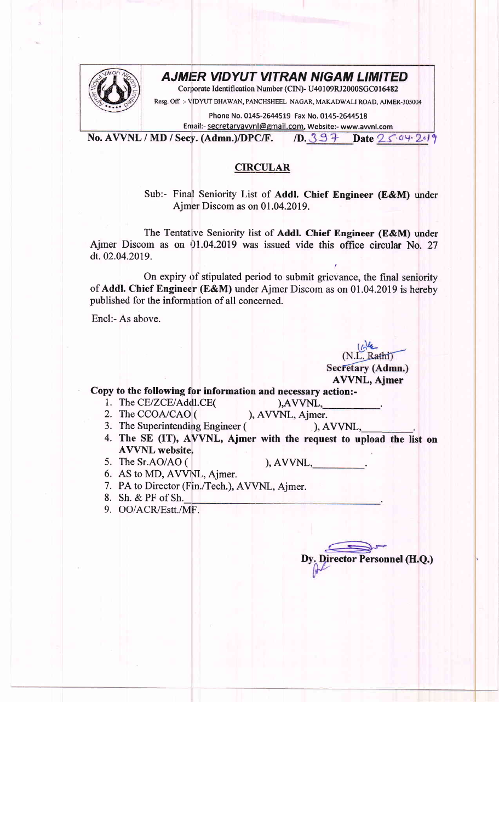## **AJMER VIDYUT VITRAN NIGAM LIMITED**



Corporate Identification Number (CIN)- U40109RJ2000SGC016482

Resg. Off. :- VIDYUT BHAWAN, PANCHSHEEL NAGAR, MAKADWALI ROAD, AJMER-305004

Phone No. 0145-2644519 Fax No. 0145-2644518

Enrail:- secretarvawnl@gmail.com, Website:- www.awnl.com

No. AVVNL / MD / Secy. (Admn.)/DPC/F. /D.  $397$  Date  $2504249$ 

## CIRCULAR

Sub:- Final Seniority List of Addl. Chief Engineer (E&M) under Ajmer Discom as on 01.04.2019.

The Tentative Seniority list of Addl. Chief Engineer (E&M) under Ajmer Discom as on 01.04.2019 was issued vide this office circular No. 27 dt.02.04.2019.

On expiry of stipulated period to submit grievance, the final seniority of Addl. Chief Engineer (E&M) under Ajmer Discom as on 01.04.2019 is hereby published for the information of all concerned.

Encl:- As above.

(N.L. Rathi) Secretary (Admn.)

r

AVVNL, Ajmer Copy to the following for information and necessary action:-

- 
- 1. The CE/ZCE/Addl.CE(
(
), AVVNL, Ajmer.
(2. The CCOA/CAO (
), AVVNL, Ajmer.
- 2. The CCOA/CAO ( ), AVVNL, Ajmer.<br>3. The Superintending Engineer ( ), AVVNL, 3. The Superintending Engineer (
- 4. The SE (IT), AVVNL, Ajmer with the request to upload the list on AVVNL website.
- 5. The Sr.AO/AO (

),  $AVVNL$ ,

6. AS to MD, AVVNL, Ajmer.

7. PA to Director (Fin./Tech.), AVVNL, Ajmer.

- Sh. & PF of Sh.\_ 8.
- OO/ACR/Estt./NIF. 9.

Director Personnel (H.Q.)